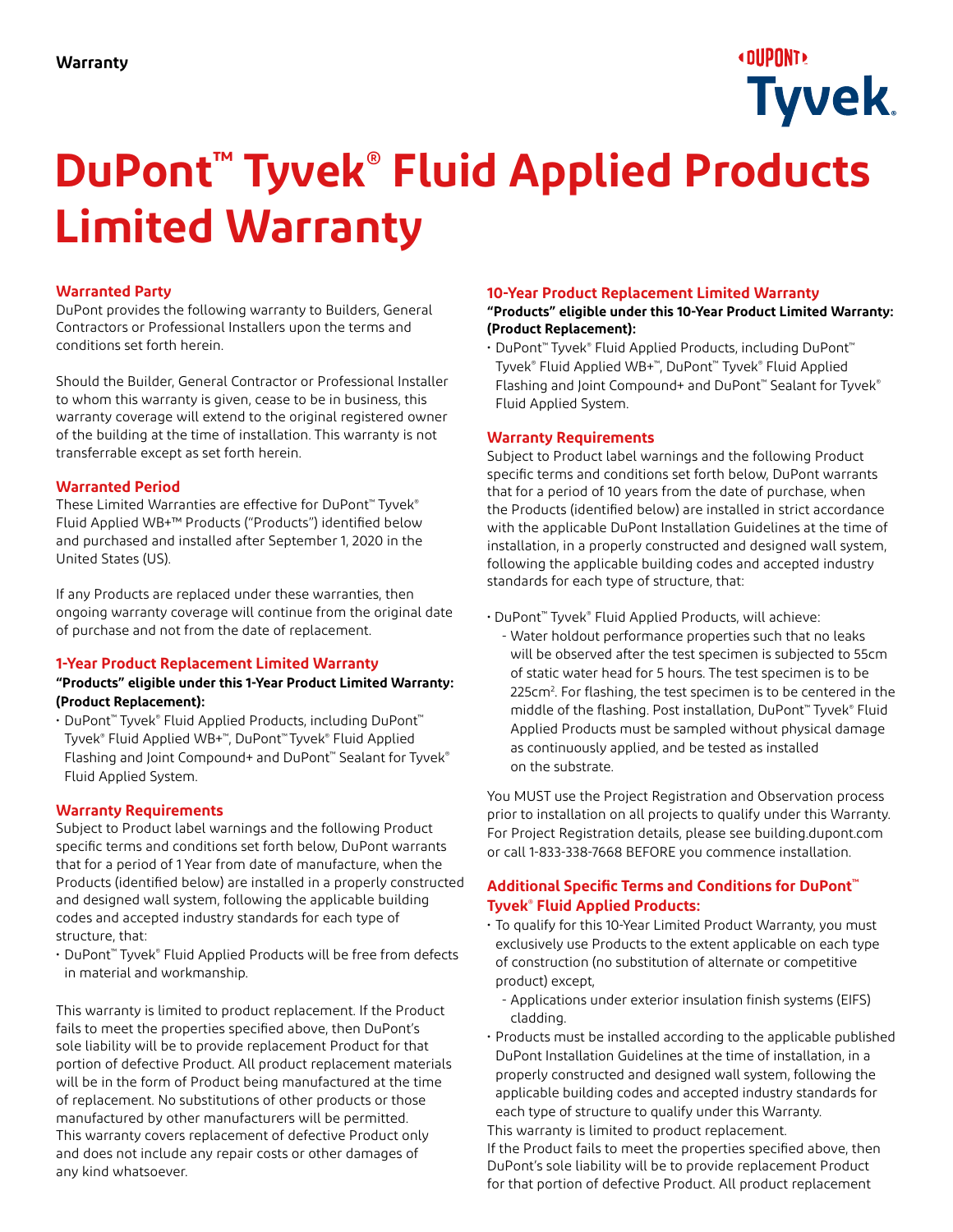# **«DUPONT» Tyvek.**

# **DuPont™ Tyvek® Fluid Applied Products Limited Warranty**

# **Warranted Party**

DuPont provides the following warranty to Builders, General Contractors or Professional Installers upon the terms and conditions set forth herein.

Should the Builder, General Contractor or Professional Installer to whom this warranty is given, cease to be in business, this warranty coverage will extend to the original registered owner of the building at the time of installation. This warranty is not transferrable except as set forth herein.

#### **Warranted Period**

These Limited Warranties are effective for DuPont™ Tyvek® Fluid Applied WB+™ Products ("Products") identified below and purchased and installed after September 1, 2020 in the United States (US).

If any Products are replaced under these warranties, then ongoing warranty coverage will continue from the original date of purchase and not from the date of replacement.

# **1-Year Product Replacement Limited Warranty**

#### **"Products" eligible under this 1-Year Product Limited Warranty: (Product Replacement):**

• DuPont™ Tyvek® Fluid Applied Products, including DuPont™ Tyvek® Fluid Applied WB+™, DuPont™ Tyvek® Fluid Applied Flashing and Joint Compound+ and DuPont<sup>™</sup> Sealant for Tyvek® Fluid Applied System.

# **Warranty Requirements**

Subject to Product label warnings and the following Product specific terms and conditions set forth below, DuPont warrants that for a period of 1 Year from date of manufacture, when the Products (identified below) are installed in a properly constructed and designed wall system, following the applicable building codes and accepted industry standards for each type of structure, that:

• DuPont™ Tyvek® Fluid Applied Products will be free from defects in material and workmanship.

This warranty is limited to product replacement. If the Product fails to meet the properties specified above, then DuPont's sole liability will be to provide replacement Product for that portion of defective Product. All product replacement materials will be in the form of Product being manufactured at the time of replacement. No substitutions of other products or those manufactured by other manufacturers will be permitted. This warranty covers replacement of defective Product only and does not include any repair costs or other damages of any kind whatsoever.

#### **10-Year Product Replacement Limited Warranty**

#### **"Products" eligible under this 10-Year Product Limited Warranty: (Product Replacement):**

• DuPont™ Tyvek® Fluid Applied Products, including DuPont™ Tyvek® Fluid Applied WB+™, DuPont™ Tyvek® Fluid Applied Flashing and Joint Compound+ and DuPont<sup>™</sup> Sealant for Tyvek® Fluid Applied System.

#### **Warranty Requirements**

Subject to Product label warnings and the following Product specific terms and conditions set forth below, DuPont warrants that for a period of 10 years from the date of purchase, when the Products (identified below) are installed in strict accordance with the applicable DuPont Installation Guidelines at the time of installation, in a properly constructed and designed wall system, following the applicable building codes and accepted industry standards for each type of structure, that:

• DuPont™ Tyvek® Fluid Applied Products, will achieve:

- Water holdout performance properties such that no leaks will be observed after the test specimen is subjected to 55cm of static water head for 5 hours. The test specimen is to be 225cm<sup>2</sup>. For flashing, the test specimen is to be centered in the middle of the flashing. Post installation, DuPont™ Tyvek® Fluid Applied Products must be sampled without physical damage as continuously applied, and be tested as installed on the substrate.

You MUST use the Project Registration and Observation process prior to installation on all projects to qualify under this Warranty. For Project Registration details, please see building.dupont.com or call 1-833-338-7668 BEFORE you commence installation.

# **Additional Specific Terms and Conditions for DuPont™ Tyvek® Fluid Applied Products:**

- To qualify for this 10-Year Limited Product Warranty, you must exclusively use Products to the extent applicable on each type of construction (no substitution of alternate or competitive product) except,
	- Applications under exterior insulation finish systems (EIFS) cladding.
- Products must be installed according to the applicable published DuPont Installation Guidelines at the time of installation, in a properly constructed and designed wall system, following the applicable building codes and accepted industry standards for each type of structure to qualify under this Warranty. This warranty is limited to product replacement.

If the Product fails to meet the properties specified above, then DuPont's sole liability will be to provide replacement Product for that portion of defective Product. All product replacement